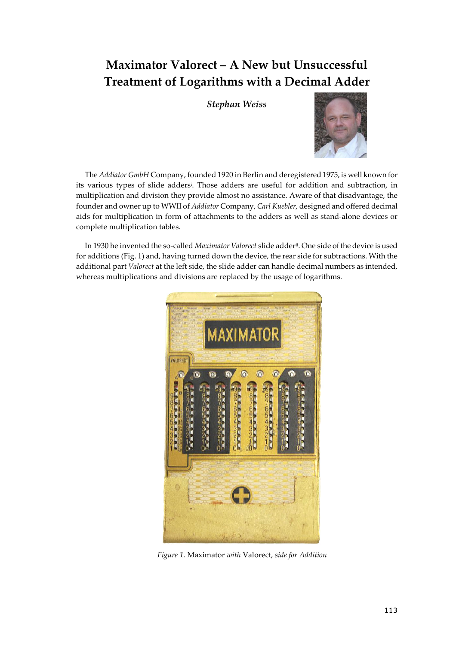## Maximator Valorect – A New but Unsuccessful Treatment of Logarithms with a Decimal Adder

Stephan Weiss



The Addiator GmbH Company, founded 1920 in Berlin and deregistered 1975, is well known for its various types of slide adders<sup>i</sup> . Those adders are useful for addition and subtraction, in multiplication and division they provide almost no assistance. Aware of that disadvantage, the founder and owner up to WWII of Addiator Company, Carl Kuebler, designed and offered decimal aids for multiplication in form of attachments to the adders as well as stand-alone devices or complete multiplication tables.

In 1930 he invented the so-called Maximator Valorect slide adderii. One side of the device is used for additions (Fig. 1) and, having turned down the device, the rear side for subtractions. With the additional part Valorect at the left side, the slide adder can handle decimal numbers as intended, whereas multiplications and divisions are replaced by the usage of logarithms.



Figure 1. Maximator with Valorect, side for Addition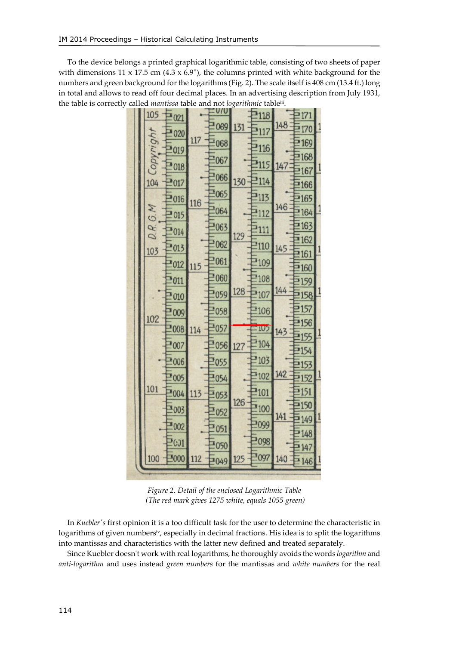To the device belongs a printed graphical logarithmic table, consisting of two sheets of paper with dimensions  $11 \times 17.5$  cm  $(4.3 \times 6.9)$ , the columns printed with white background for the numbers and green background for the logarithms (Fig. 2). The scale itself is 408 cm (13.4 ft.) long in total and allows to read off four decimal places. In an advertising description from July 1931, the table is correctly called mantissa table and not logarithmic table<sup>iii</sup>.

|  | 105               | 021               |                   | 0/0        |                          | 118             |            | 171              |  |
|--|-------------------|-------------------|-------------------|------------|--------------------------|-----------------|------------|------------------|--|
|  |                   |                   |                   | 069        | 131                      | 2117            | 148        | 170              |  |
|  | tqp,              | 020               | 117               | $830^{11}$ |                          |                 |            | <b>2169</b>      |  |
|  | Copyry            | -019              | 116               | 1067       | 130<br>129               | 2116            | 147<br>146 | $= 168$          |  |
|  |                   | 2018              |                   |            |                          | 2115            |            | 2167             |  |
|  | 104               | 2017              |                   | 1066       |                          | 2114            |            | E <sub>166</sub> |  |
|  |                   | 2016              |                   | 1065       |                          | <b>113</b>      |            | 2165             |  |
|  |                   | 1015              |                   | 2064       |                          | 3112            |            | $= 164$          |  |
|  | D.R.G.M           |                   |                   | 2063       |                          | $rac{3}{2}$ 111 |            | $= 163$          |  |
|  |                   | 1014              |                   | 1062       |                          |                 |            | $\equiv$ 162     |  |
|  | 103<br>102<br>101 | 2013              | 115<br>114<br>113 |            | 128<br>$1056$ 127<br>126 | 2110            | 145<br>144 | <b>2161</b>      |  |
|  |                   | 2012              |                   | 1061       |                          | 109             |            | ·160             |  |
|  |                   | 2011              |                   | 1060       |                          | 108             |            | <b>159</b>       |  |
|  |                   | .010              |                   | 1059       |                          | 2107            |            | :158             |  |
|  |                   | .009              |                   | 2058       |                          | 2106            |            | !157             |  |
|  |                   | :008              |                   | 1057       |                          | 10 <sub>2</sub> |            | <b>156</b>       |  |
|  |                   |                   |                   |            |                          |                 | 143        | -155             |  |
|  |                   | 1007              |                   |            |                          | 104             | 142<br>141 | <b>154</b>       |  |
|  |                   | 2006              |                   | 1055       |                          | 103             |            | 2153             |  |
|  |                   | 1005              |                   | 1054       |                          | 3102            |            | <sup>*</sup> 152 |  |
|  |                   | 1004              |                   | 1053       |                          | 101             |            | 151              |  |
|  |                   | 1003              |                   | 1052       |                          | 100             |            | 150              |  |
|  |                   | <b>E002</b>       |                   |            |                          | 1099            |            | <b>149</b>       |  |
|  |                   |                   |                   | 1051       |                          |                 |            | 2148             |  |
|  |                   | $\frac{1}{2}$ CO1 |                   | 1050       |                          | 2098            |            | 2147             |  |
|  | 100               | 1000              | 112               | 1049       | 125                      | 1097            | 140        | $= 146$          |  |
|  |                   |                   |                   |            |                          |                 |            |                  |  |

Figure 2. Detail of the enclosed Logarithmic Table (The red mark gives 1275 white, equals 1055 green)

In Kuebler's first opinion it is a too difficult task for the user to determine the characteristic in logarithms of given numbers<sup>iv</sup>, especially in decimal fractions. His idea is to split the logarithms into mantissas and characteristics with the latter new defined and treated separately.

Since Kuebler doesn't work with real logarithms, he thoroughly avoids the words *logarithm* and anti-logarithm and uses instead green numbers for the mantissas and white numbers for the real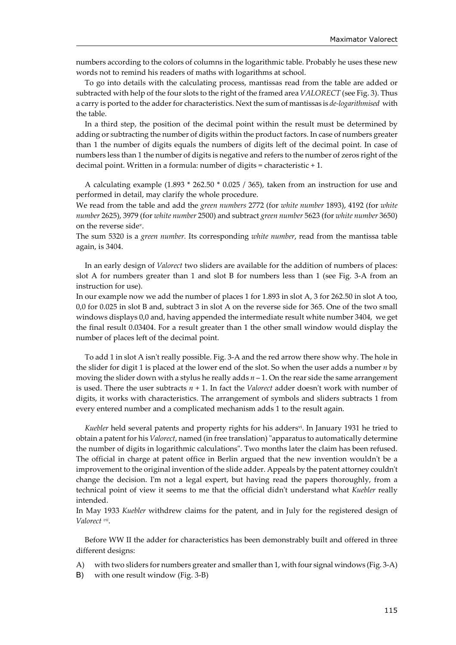numbers according to the colors of columns in the logarithmic table. Probably he uses these new words not to remind his readers of maths with logarithms at school.

To go into details with the calculating process, mantissas read from the table are added or subtracted with help of the four slots to the right of the framed area VALORECT (see Fig. 3). Thus a carry is ported to the adder for characteristics. Next the sum of mantissas is de-logarithmised with the table.

In a third step, the position of the decimal point within the result must be determined by adding or subtracting the number of digits within the product factors. In case of numbers greater than 1 the number of digits equals the numbers of digits left of the decimal point. In case of numbers less than 1 the number of digits is negative and refers to the number of zeros right of the decimal point. Written in a formula: number of digits = characteristic + 1.

A calculating example (1.893 \* 262.50 \* 0.025 / 365), taken from an instruction for use and performed in detail, may clarify the whole procedure.

We read from the table and add the green numbers 2772 (for white number 1893), 4192 (for white number 2625), 3979 (for white number 2500) and subtract green number 5623 (for white number 3650) on the reverse sidev.

The sum 5320 is a green number. Its corresponding white number, read from the mantissa table again, is 3404.

In an early design of Valorect two sliders are available for the addition of numbers of places: slot A for numbers greater than 1 and slot B for numbers less than 1 (see Fig. 3-A from an instruction for use).

In our example now we add the number of places 1 for 1.893 in slot A, 3 for 262.50 in slot A too, 0,0 for 0.025 in slot B and, subtract 3 in slot A on the reverse side for 365. One of the two small windows displays 0,0 and, having appended the intermediate result white number 3404, we get the final result 0.03404. For a result greater than 1 the other small window would display the number of places left of the decimal point.

To add 1 in slot A isn't really possible. Fig. 3-A and the red arrow there show why. The hole in the slider for digit 1 is placed at the lower end of the slot. So when the user adds a number  $n$  by moving the slider down with a stylus he really adds  $n - 1$ . On the rear side the same arrangement is used. There the user subtracts  $n + 1$ . In fact the *Valorect* adder doesn't work with number of digits, it works with characteristics. The arrangement of symbols and sliders subtracts 1 from every entered number and a complicated mechanism adds 1 to the result again.

Kuebler held several patents and property rights for his adders<sup>vi</sup>. In January 1931 he tried to obtain a patent for his Valorect, named (in free translation) "apparatus to automatically determine the number of digits in logarithmic calculations". Two months later the claim has been refused. The official in charge at patent office in Berlin argued that the new invention wouldn't be a improvement to the original invention of the slide adder. Appeals by the patent attorney couldn't change the decision. I'm not a legal expert, but having read the papers thoroughly, from a technical point of view it seems to me that the official didn't understand what Kuebler really intended.

In May 1933 Kuebler withdrew claims for the patent, and in July for the registered design of Valorect vii.

Before WW II the adder for characteristics has been demonstrably built and offered in three different designs:

- A) with two sliders for numbers greater and smaller than 1, with four signal windows (Fig. 3-A)
- B) with one result window (Fig. 3-B)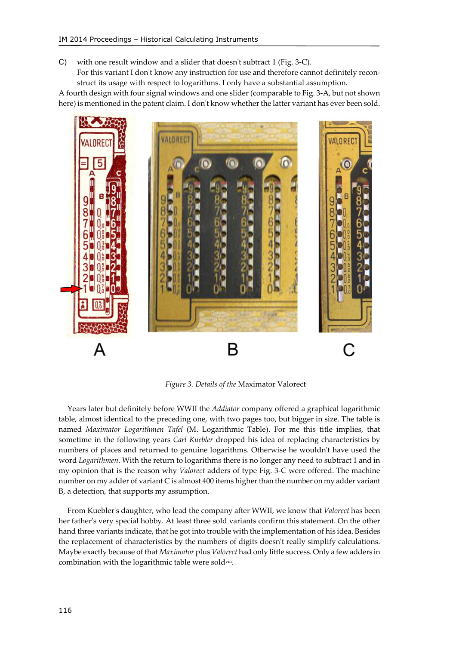C) with one result window and a slider that doesn't subtract 1 (Fig. 3-C). For this variant I don't know any instruction for use and therefore cannot definitely reconstruct its usage with respect to logarithms. I only have a substantial assumption.

A fourth design with four signal windows and one slider (comparable to Fig. 3-A, but not shown here) is mentioned in the patent claim. I don't know whether the latter variant has ever been sold.



Figure 3. Details of the Maximator Valorect

Years later but definitely before WWII the *Addiator* company offered a graphical logarithmic table, almost identical to the preceding one, with two pages too, but bigger in size. The table is named Maximator Logarithmen Tafel (M. Logarithmic Table). For me this title implies, that sometime in the following years *Carl Kuebler* dropped his idea of replacing characteristics by numbers of places and returned to genuine logarithms. Otherwise he wouldn't have used the word Logarithmen. With the return to logarithms there is no longer any need to subtract 1 and in my opinion that is the reason why Valorect adders of type Fig. 3-C were offered. The machine number on my adder of variant C is almost 400 items higher than the number on my adder variant B, a detection, that supports my assumption.

From Kuebler's daughter, who lead the company after WWII, we know that Valorect has been her father's very special hobby. At least three sold variants confirm this statement. On the other hand three variants indicate, that he got into trouble with the implementation of his idea. Besides the replacement of characteristics by the numbers of digits doesn't really simplify calculations. Maybe exactly because of that Maximator plus Valorect had only little success. Only a few adders in combination with the logarithmic table were sold<sup>viii</sup>.